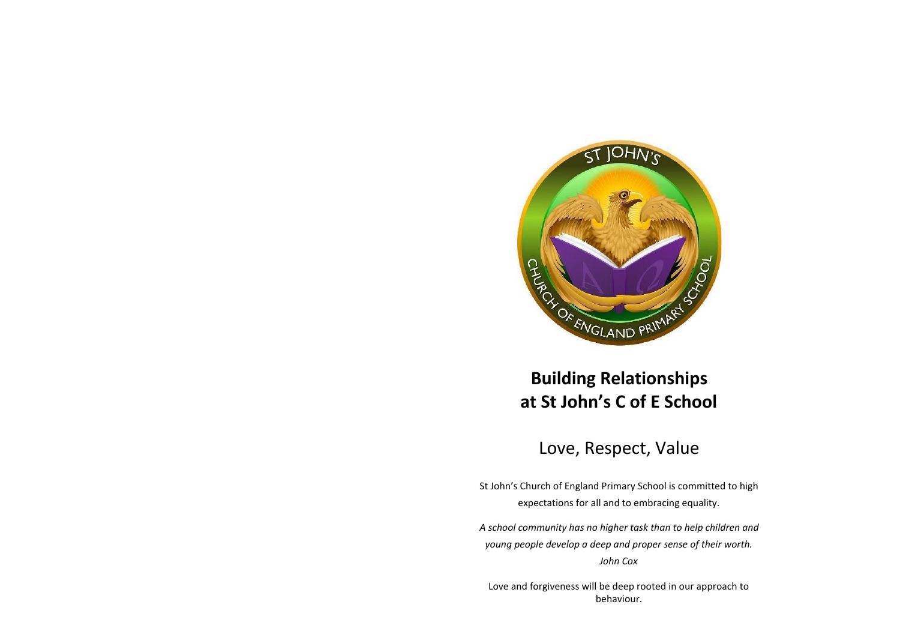

# **Building Relationships at St John's C of E School**

## Love, Respect, Value

St John's Church of England Primary School is committed to high expectations for all and to embracing equality.

*A school community has no higher task than to help children and young people develop a deep and proper sense of their worth. John Cox*

Love and forgiveness will be deep rooted in our approach to behaviour.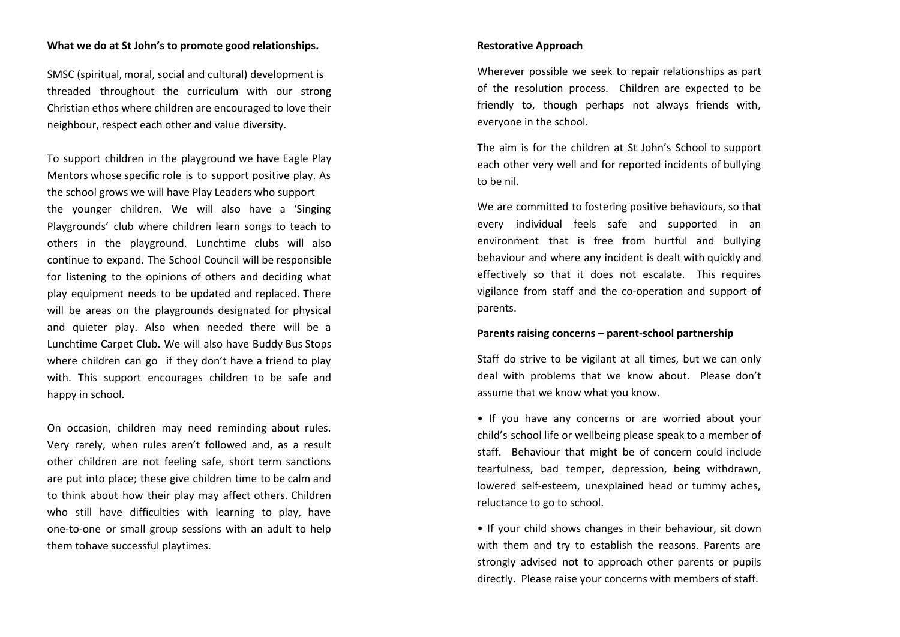## **What we do at St John's to promote good relationships.**

SMSC (spiritual, moral, social and cultural) development is threaded throughout the curriculum with our strong Christian ethos where children are encouraged to love their neighbour, respect each other and value diversity.

To support children in the playground we have Eagle Play Mentors whose specific role is to support positive play. As the school grows we will have Play Leaders who support the younger children. We will also have a 'Singing Playgrounds' club where children learn songs to teach to others in the playground. Lunchtime clubs will also continue to expand. The School Council will be responsible for listening to the opinions of others and deciding what play equipment needs to be updated and replaced. There will be areas on the playgrounds designated for physical and quieter play. Also when needed there will be a Lunchtime Carpet Club. We will also have Buddy Bus Stops where children can go if they don't have a friend to play with. This support encourages children to be safe and happy in school.

On occasion, children may need reminding about rules. Very rarely, when rules aren't followed and, as a result other children are not feeling safe, short term sanctions are put into place; these give children time to be calm and to think about how their play may affect others. Children who still have difficulties with learning to play, have one-to-one or small group sessions with an adult to help them tohave successful playtimes.

#### **Restorative Approach**

Wherever possible we seek to repair relationships as part of the resolution process. Children are expected to be friendly to, though perhaps not always friends with, everyone in the school.

The aim is for the children at St John's School to support each other very well and for reported incidents of bullying to be nil.

We are committed to fostering positive behaviours, so that every individual feels safe and supported in an environment that is free from hurtful and bullying behaviour and where any incident is dealt with quickly and effectively so that it does not escalate. This requires vigilance from staff and the co-operation and support of parents.

#### **Parents raising concerns – parent-school partnership**

Staff do strive to be vigilant at all times, but we can only deal with problems that we know about. Please don't assume that we know what you know.

• If you have any concerns or are worried about your child's school life or wellbeing please speak to a member of staff. Behaviour that might be of concern could include tearfulness, bad temper, depression, being withdrawn, lowered self-esteem, unexplained head or tummy aches, reluctance to go to school.

• If your child shows changes in their behaviour, sit down with them and try to establish the reasons. Parents are strongly advised not to approach other parents or pupils directly. Please raise your concerns with members of staff.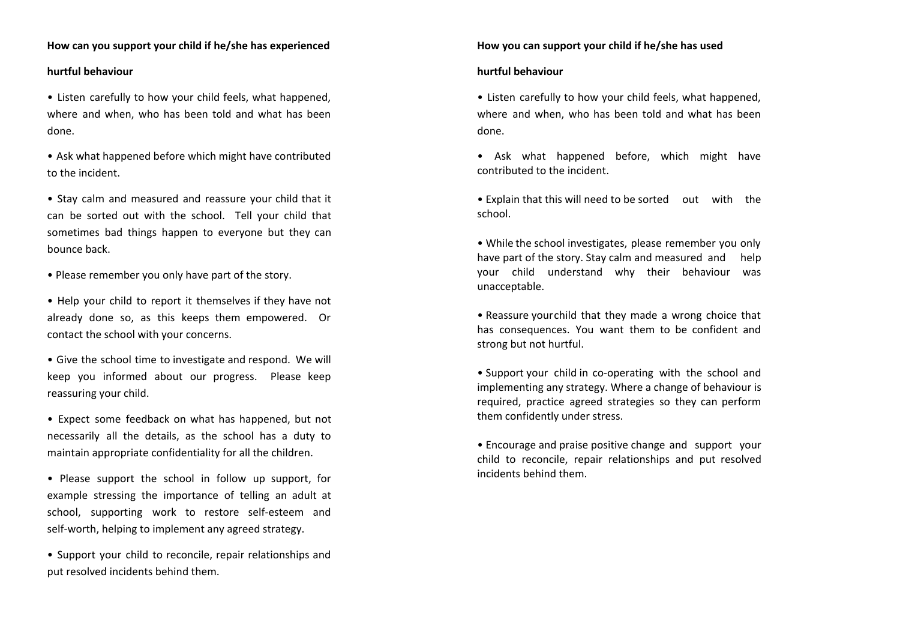## **How can you support your child if he/she has experienced**

## **hurtful behaviour**

• Listen carefully to how your child feels, what happened, where and when, who has been told and what has been done.

• Ask what happened before which might have contributed to the incident.

• Stay calm and measured and reassure your child that it can be sorted out with the school. Tell your child that sometimes bad things happen to everyone but they can bounce back.

• Please remember you only have part of the story.

• Help your child to report it themselves if they have not already done so, as this keeps them empowered. Or contact the school with your concerns.

• Give the school time to investigate and respond. We will keep you informed about our progress. Please keep reassuring your child.

• Expect some feedback on what has happened, but not necessarily all the details, as the school has a duty to maintain appropriate confidentiality for all the children.

• Please support the school in follow up support, for example stressing the importance of telling an adult at school, supporting work to restore self-esteem and self-worth, helping to implement any agreed strategy.

• Support your child to reconcile, repair relationships and put resolved incidents behind them.

#### **How you can support your child if he/she has used**

#### **hurtful behaviour**

• Listen carefully to how your child feels, what happened, where and when, who has been told and what has been done.

• Ask what happened before, which might have contributed to the incident.

• Explain that this will need to be sorted out with the school.

• While the school investigates, please remember you only have part of the story. Stay calm and measured and help your child understand why their behaviour was unacceptable.

• Reassure yourchild that they made a wrong choice that has consequences. You want them to be confident and strong but not hurtful.

• Support your child in co-operating with the school and implementing any strategy. Where a change of behaviour is required, practice agreed strategies so they can perform them confidently under stress.

• Encourage and praise positive change and support your child to reconcile, repair relationships and put resolved incidents behind them.